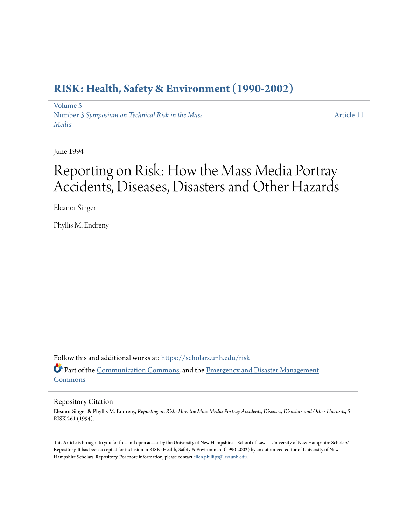# **[RISK: Health, Safety & Environment \(1990-2002\)](https://scholars.unh.edu/risk?utm_source=scholars.unh.edu%2Frisk%2Fvol5%2Fiss3%2F11&utm_medium=PDF&utm_campaign=PDFCoverPages)**

[Volume 5](https://scholars.unh.edu/risk/vol5?utm_source=scholars.unh.edu%2Frisk%2Fvol5%2Fiss3%2F11&utm_medium=PDF&utm_campaign=PDFCoverPages) Number 3 *[Symposium on Technical Risk in the Mass](https://scholars.unh.edu/risk/vol5/iss3?utm_source=scholars.unh.edu%2Frisk%2Fvol5%2Fiss3%2F11&utm_medium=PDF&utm_campaign=PDFCoverPages) [Media](https://scholars.unh.edu/risk/vol5/iss3?utm_source=scholars.unh.edu%2Frisk%2Fvol5%2Fiss3%2F11&utm_medium=PDF&utm_campaign=PDFCoverPages)*

[Article 11](https://scholars.unh.edu/risk/vol5/iss3/11?utm_source=scholars.unh.edu%2Frisk%2Fvol5%2Fiss3%2F11&utm_medium=PDF&utm_campaign=PDFCoverPages)

June 1994

# Reporting on Risk: How the Mass Media Portray Accidents, Diseases, Disasters and Other Hazards

Eleanor Singer

Phyllis M. Endreny

Follow this and additional works at: [https://scholars.unh.edu/risk](https://scholars.unh.edu/risk?utm_source=scholars.unh.edu%2Frisk%2Fvol5%2Fiss3%2F11&utm_medium=PDF&utm_campaign=PDFCoverPages) Part of the [Communication Commons](http://network.bepress.com/hgg/discipline/325?utm_source=scholars.unh.edu%2Frisk%2Fvol5%2Fiss3%2F11&utm_medium=PDF&utm_campaign=PDFCoverPages), and the [Emergency and Disaster Management](http://network.bepress.com/hgg/discipline/1321?utm_source=scholars.unh.edu%2Frisk%2Fvol5%2Fiss3%2F11&utm_medium=PDF&utm_campaign=PDFCoverPages) [Commons](http://network.bepress.com/hgg/discipline/1321?utm_source=scholars.unh.edu%2Frisk%2Fvol5%2Fiss3%2F11&utm_medium=PDF&utm_campaign=PDFCoverPages)

#### Repository Citation

Eleanor Singer & Phyllis M. Endreny, *Reporting on Risk: How the Mass Media Portray Accidents, Diseases, Disasters and Other Hazards*, 5 RISK 261 (1994).

This Article is brought to you for free and open access by the University of New Hampshire – School of Law at University of New Hampshire Scholars' Repository. It has been accepted for inclusion in RISK: Health, Safety & Environment (1990-2002) by an authorized editor of University of New Hampshire Scholars' Repository. For more information, please contact [ellen.phillips@law.unh.edu](mailto:ellen.phillips@law.unh.edu).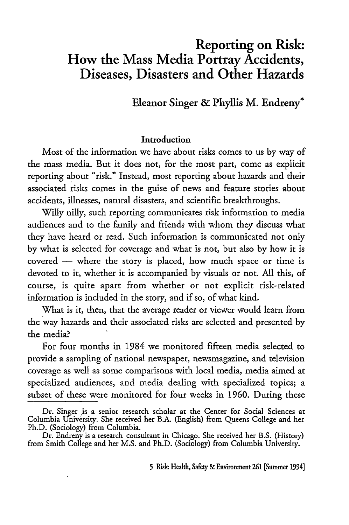## Reporting on Risk: How the Mass Media Portray Accidents, Diseases, Disasters and Other Hazards

Eleanor Singer & Phyllis M. Endreny\*

#### Introduction

Most of the information we have about risks comes to us by way of the mass media. But it does not, for the most part, come as explicit reporting about "risk." Instead, most reporting about hazards and their associated risks comes in the guise of news and feature stories about accidents, illnesses, natural disasters, and scientific breakthroughs.

Willy hilly, such reporting communicates risk information to media audiences and to the family and friends with whom they discuss what they have heard or read. Such information is communicated not only by what is selected for coverage and what is not, but also by how it is covered **-** where the story is placed, how much space or time is devoted to it, whether it is accompanied by visuals or not. **All** this, of course, is quite apart from whether or not explicit risk-related information is included in the story, and if so, of what kind.

What is it, then, that the average reader or viewer would learn from the way hazards and their associated risks are selected and presented by the media?

For four months in 1984 we monitored fifteen media selected to provide a sampling of national newspaper, newsmagazine, and television coverage as well as some comparisons with local media, media aimed at specialized audiences, and media dealing with specialized topics; a subset of these were monitored for four weeks in 1960. During these

**5** Risk Health, Safety & Environment **261** [Summer 1994]

Dr. Singer is a senior research scholar at the Center for Social Sciences at Columbia University. She received her B.A. (English) from Queens College and her Ph.D. (Sociology) from Columbia.

Dr. Endreny is a research consultant in Chicago. She received her B.S. (History) from Smith College and her M.S. and Ph.D. (Sociology) from Columbia University.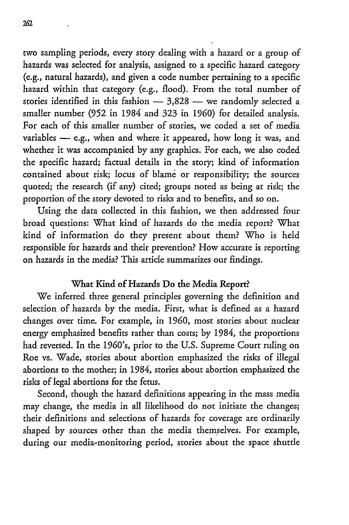two sampling periods, every story dealing with a hazard or a group of hazards was selected for analysis, assigned to a specific hazard category (e.g., natural hazards), and given a code number pertaining to a specific hazard within that category (e.g., flood). From the total number of stories identified in this fashion  $-$  3,828  $-$  we randomly selected a smaller number (952 in 1984 and 323 in **1960)** for detailed analysis. For each of this smaller number of stories, we coded a set of media variables - e.g., when and where it appeared, how long it was, and whether it was accompanied by any graphics. For each, we also coded the specific hazard; factual details in the story; kind of information contained about risk; locus of blame or responsibility; the sources quoted; the research (if any) cited; groups noted as being at risk; the proportion of the story devoted to risks and to benefits, and so on.

Using the data collected in this fashion, we then addressed four broad questions: What kind of hazards do the media report? What kind of information do they present about them? Who is held responsible for hazards and their prevention? How accurate is reporting on hazards in the media? This article summarizes our findings.

#### What Kind of Hazards Do the Media Report?

We inferred three general principles governing the definition and selection of hazards by the media. First, what is defined as a hazard changes over time. For example, in 1960, most stories about nuclear energy emphasized benefits rather than costs; by 1984, the proportions had reversed. In the 1960's, prior to the U.S. Supreme Court ruling on Roe vs. Wade, stories about abortion emphasized the risks of illegal abortions to the mother; in 1984, stories about abortion emphasized the risks of legal abortions for the fetus.

Second, though the hazard definitions appearing in the mass media may change, the media in all likelihood do not initiate the changes; their definitions and selections of hazards for coverage are ordinarily shaped by sources other than the media themselves. For example, during our media-monitoring period, stories about the space shuttle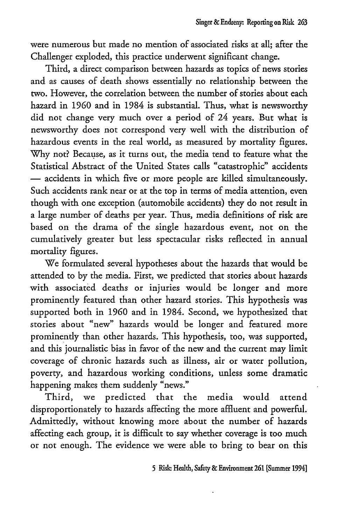were numerous but made no mention of associated risks at all; after the Challenger exploded, this practice underwent significant change.

Third, a direct comparison between hazards as topics of news stories and as causes of death shows essentially no relationship between the two. However, the correlation between the number of stories about each hazard in 1960 and in 1984 is substantial. Thus, what is newsworthy did not change very much over a period of 24 years. But what is newsworthy does not correspond very well with the distribution of hazardous events in the real world, as measured by mortality figures. Why not? Because, as it turns out, the media tend to feature what the Statistical Abstract of the United States calls "catastrophic" accidents **-** accidents in which five or more people are killed simultaneously. Such accidents rank near or at the top in terms of media attention, even though with one exception (automobile accidents) they do not result in a large number of deaths per year. Thus, media definitions of risk are based on the drama of the single hazardous event, not on the cumulatively greater but less spectacular risks reflected in annual mortality figures.

We formulated several hypotheses about the hazards that would be attended to by the media. First, we predicted that stories about hazards with associated deaths or injuries would be longer and more prominently featured than other hazard stories. This hypothesis was supported both in 1960 and in 1984. Second, we hypothesized that stories about "new" hazards would be longer and featured more prominently than other hazards. This hypothesis, too, was supported, and this journalistic bias in favor of the new and the current may limit coverage of chronic hazards such as illness, air or water pollution, poverty, and hazardous working conditions, unless some dramatic happening makes them suddenly "news."

Third, we predicted that the media would attend disproportionately to hazards affecting the more affluent and powerful. Admittedly, without knowing more about the number of hazards affecting each group, it is difficult to say whether coverage is too much or not enough. The evidence we were able to bring to bear on this

**5** Risk: Health, Safety & Environment 261 [Summer 1994]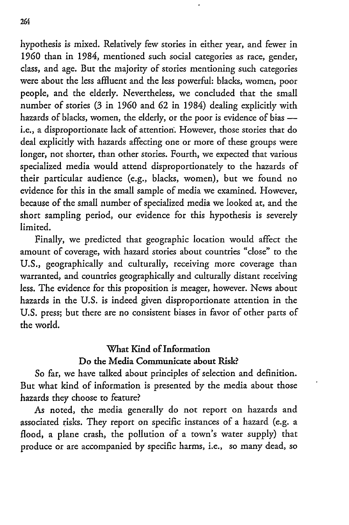hypothesis is mixed. Relatively few stories in either year, and fewer in 1960 than in 1984, mentioned such social categories as race, gender, class, and age. But the majority of stories mentioning such categories were about the less affluent and the less powerful: blacks, women, poor people, and the elderly. Nevertheless, we concluded that the small number of stories (3 in **1960** and 62 in 1984) dealing explicitly with hazards of blacks, women, the elderly, or the poor is evidence of bias  i.e., a disproportionate lack of attention'. However, those stories that do deal explicitly with hazards affecting one or more of these groups were longer, not shorter, than other stories. Fourth, we expected that various specialized media would attend disproportionately to the hazards of their particular audience (e.g., blacks, women), but we found no evidence for this in the small sample of media we examined. However, because of the small number of specialized media we looked at, and the short sampling period, our evidence for this hypothesis is severely limited.

Finally, we predicted that geographic location would affect the amount of coverage, with hazard stories about countries "close" to the U.S., geographically and culturally, receiving more coverage than warranted, and countries geographically and culturally distant receiving less. The evidence for this proposition is meager, however. News about hazards in the U.S. is indeed given disproportionate attention in the U.S. press; but there are no consistent biases in favor of other parts of the world.

### What Kind of Information Do the Media Communicate about Risk?

So far, **we** have talked about principles of selection and definition. But what kind of information is presented by the media about those hazards they choose to feature?

As noted, the media generally do not report on hazards and associated risks. They report on specific instances of a hazard (e.g. a flood, a plane crash, the pollution of a town's water supply) that produce or are accompanied by specific harms, i.e., so many dead, so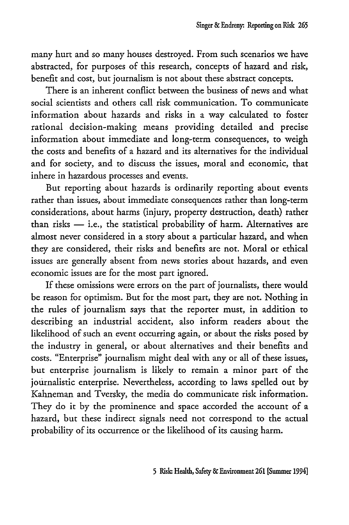many hurt and so many houses destroyed. From such scenarios we have abstracted, for purposes of this research, concepts of hazard and risk, benefit and cost, but journalism is not about these abstract concepts.

There is an inherent conflict between the business of news and what social scientists and others call risk communication. To communicate information about hazards and risks in a way calculated to foster rational decision-making means providing detailed and precise information about immediate and long-term consequences, to weigh the costs and benefits of a hazard and its alternatives for the individual and for society, and to discuss the issues, moral and economic, that inhere in hazardous processes and events.

But reporting about hazards is ordinarily reporting about events rather than issues, about immediate consequences rather than long-term considerations, about harms (injury, property destruction, death) rather than risks  $-$  i.e., the statistical probability of harm. Alternatives are almost never considered in a story about a particular hazard, and when they are considered, their risks and benefits are not. Moral or ethical issues are generally absent from news stories about hazards, and even economic issues are for the most part ignored.

If these omissions were errors on the part of journalists, there would be reason for optimism. But for the most part, they are not. Nothing in the rules of journalism says that the reporter must, in addition to describing an industrial accident, also inform readers about the likelihood of such an event occurring again, or about the risks posed by the industry in general, or about alternatives and their benefits and costs. "Enterprise" journalism might deal with any or all of these issues, but enterprise journalism is likely to remain a minor part of the journalistic enterprise. Nevertheless, according to laws spelled out by Kahneman and Tversky, the media do communicate risk information. They do it by the prominence and space accorded the account of a hazard, but these indirect signals need not correspond to the actual probability of its occurrence or the likelihood of its causing harm.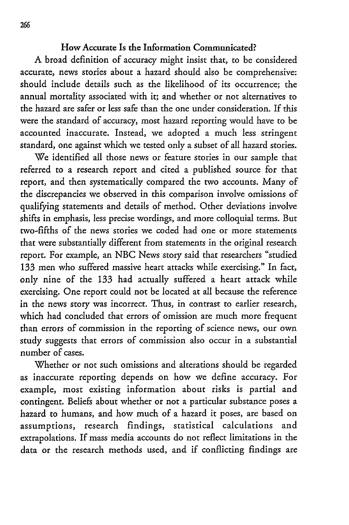#### How Accurate Is the Information Communicated?

A broad definition of accuracy might insist that, to be considered accurate, news stories about a hazard should also be comprehensive: should include details such as the likelihood of its occurrence; the annual mortality associated with it; and whether or not alternatives to the hazard are safer or less safe than the one under consideration. If this were the standard of accuracy, most hazard reporting would have to be accounted inaccurate. Instead, we adopted a much less stringent standard, one against which we tested only a subset of all hazard stories.

We identified all those news or feature stories in our sample that referred to a research report and cited a published source for that report, and then systematically compared the two accounts. Many of the discrepancies we observed in this comparison involve omissions of qualifying statements and details of method. Other deviations involve shifts in emphasis, less precise wordings, and more colloquial terms. But two-fifths of the news stories we coded had one or more statements that were substantially different from statements in the original research report. For example, an NBC News story said that researchers "studied 133 men who suffered massive heart attacks while exercising." In fact, only nine of the **133** had actually suffered a heart attack while exercising. One report could not be located at all because the reference in the news story was incorrect. Thus, in contrast to earlier research, which had concluded that errors of omission are much more frequent than errors of commission in the reporting of science news, our own study suggests that errors of commission also occur in a substantial number of cases.

Whether or not such omissions and alterations should be regarded as inaccurate reporting depends on how we define accuracy. For example, most existing information about risks is partial and contingent. Beliefs about whether or not a particular substance poses a hazard to humans, and how much of a hazard it poses, are based on assumptions, research findings, statistical calculations and extrapolations. If mass media accounts do not reflect limitations in the data or the research methods used, and if conflicting findings are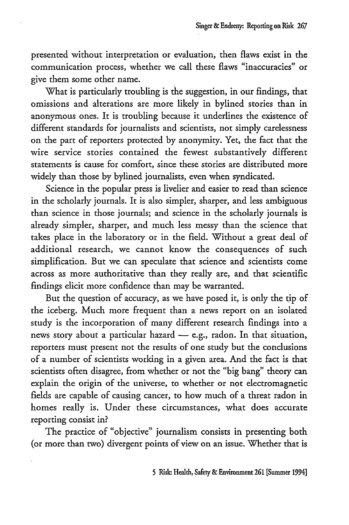presented without interpretation or evaluation, then flaws exist in the communication process, whether we call these flaws "inaccuracies" or give them some other name.

What is particularly troubling is the suggestion, in our findings, that omissions and alterations are more likely in bylined stories than in anonymous ones. It is troubling because it underlines the existence of different standards for journalists and scientists, not simply carelessness on the part of reporters protected by anonymity. Yet, the fact that the wire service stories contained the fewest substantively different statements is cause for comfort, since these stories are distributed more widely than those by bylined journalists, even when syndicated.

Science in the popular press is livelier and easier to read than science in the scholarly journals. It is also simpler, sharper, and less ambiguous than science in those journals; and science in the scholarly journals is already simpler, sharper, and much less messy than the science that takes place in the laboratory or in the field. Without a great deal of additional research, we cannot know the consequences of such simplification. But we can speculate that science and scientists come across as more authoritative than they really are, and that scientific findings elicit more confidence than may be warranted.

But the question of accuracy, as we have posed it, is only the tip of the iceberg. Much more frequent than a news report on an isolated study is the incorporation of many different research findings into a news story about a particular hazard  $-$  e.g., radon. In that situation, reporters must present not the results of one study but the conclusions of a number of scientists working in a given area. And the fact is that scientists often disagree, from whether or not the "big bang" theory can explain the origin of the universe, to whether or not electromagnetic fields are capable of causing cancer, to how much of a threat radon in homes really is. Under these circumstances, what does accurate reporting consist in?

The practice of "objective" journalism consists in presenting both (or more than two) divergent points of view on an issue. Whether that is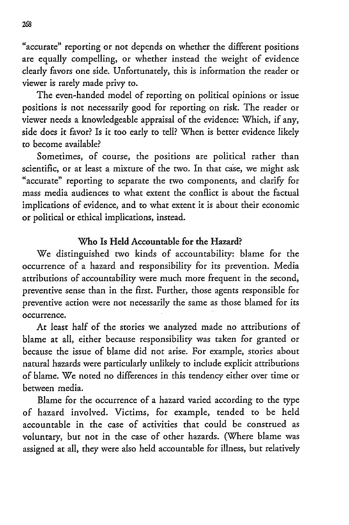"accurate" reporting or not depends on whether the different positions are equally compelling, or whether instead the weight of evidence clearly favors one side. Unfortunately, this is information the reader or viewer is rarely made privy to.

The even-handed model of reporting on political opinions or issue positions is not necessarily good for reporting on risk. The reader or viewer needs a knowledgeable appraisal of the evidence: Which, if any, side does it favor? Is it too early to tell? When is better evidence likely to become available?

Sometimes, of course, the positions are political rather than scientific, or at least a mixture of the two. In that case, we might ask "accurate" reporting to separate the two components, and clarify for mass media audiences to what extent the conflict is about the factual implications of evidence, and to what extent it is about their economic or political or ethical implications, instead.

#### Who Is Held Accountable for the Hazard?

We distinguished two kinds of accountability: blame for the occurrence of a hazard and responsibility for its prevention. Media attributions of accountability were much more frequent in the second, preventive sense than in the first. Further, those agents responsible for preventive action were not necessarily the same as those blamed for its occurrence.

At least half of the stories we analyzed made no attributions of blame at all, either because responsibility was taken for granted or because the issue of blame did not arise. For example, stories about natural hazards were particularly unlikely to include explicit attributions of blame. We noted no differences in this tendency either over time or between media.

Blame for the occurrence of a hazard varied according to the type of hazard involved. Victims, for example, tended to be held accountable in the case of activities that could be construed as voluntary, but not in the case of other hazards. (Where blame was assigned at all, they were also held accountable for illness, but relatively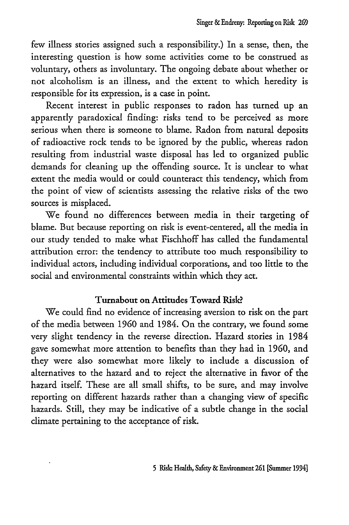few illness stories assigned such a responsibility.) In a sense, then, the interesting question is how some activities come to be construed as voluntary, others as involuntary. The ongoing debate about whether or not alcoholism is an illness, and the extent to which heredity is responsible for its expression, is a case in point.

Recent interest in public responses to radon has turned up an apparently paradoxical finding: risks tend to be perceived as more serious when there is someone to blame. Radon from natural deposits of radioactive rock tends to be ignored by the public, whereas radon resulting from industrial waste disposal has led to organized public demands for cleaning up the offending source. It is unclear to what extent the media would or could counteract this tendency, which from the point of view of scientists assessing the relative risks of the two sources is misplaced.

We found no differences between media in their targeting of blame. But because reporting on risk is event-centered, all the media in our study tended to make what Fischhoff has called the fundamental attribution error: the tendency to attribute too much responsibility to individual actors, including individual corporations, and too little to the social and environmental constraints within which they act.

## Turnabout on Attitudes Toward Risk?

We could find no evidence of increasing aversion to risk on the part of the media between 1960 and 1984. On the contrary, we found some very slight tendency in the reverse direction. Hazard stories in 1984 gave somewhat more attention to benefits than they had in **1960,** and they were also somewhat more likely to include a discussion of alternatives to the hazard and to reject the alternative in favor of the hazard itself. These are all small shifts, to be sure, and may involve reporting on different hazards rather than a changing view of specific hazards. Still, they may be indicative of a subtle change in the social climate pertaining to the acceptance of risk.